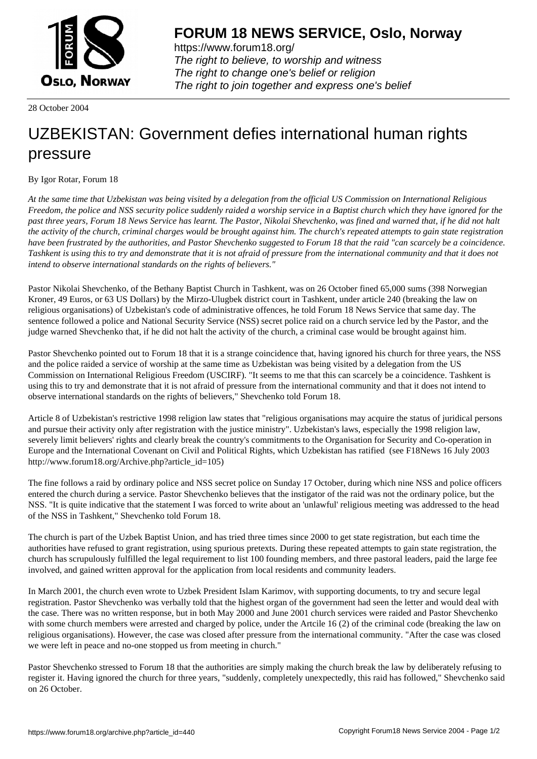

https://www.forum18.org/ The right to believe, to worship and witness The right to change one's belief or religion [The right to join together a](https://www.forum18.org/)nd express one's belief

28 October 2004

## [UZBEKISTAN:](https://www.forum18.org) Government defies international human rights pressure

By Igor Rotar, Forum 18

*At the same time that Uzbekistan was being visited by a delegation from the official US Commission on International Religious Freedom, the police and NSS security police suddenly raided a worship service in a Baptist church which they have ignored for the past three years, Forum 18 News Service has learnt. The Pastor, Nikolai Shevchenko, was fined and warned that, if he did not halt the activity of the church, criminal charges would be brought against him. The church's repeated attempts to gain state registration have been frustrated by the authorities, and Pastor Shevchenko suggested to Forum 18 that the raid "can scarcely be a coincidence. Tashkent is using this to try and demonstrate that it is not afraid of pressure from the international community and that it does not intend to observe international standards on the rights of believers."*

Pastor Nikolai Shevchenko, of the Bethany Baptist Church in Tashkent, was on 26 October fined 65,000 sums (398 Norwegian Kroner, 49 Euros, or 63 US Dollars) by the Mirzo-Ulugbek district court in Tashkent, under article 240 (breaking the law on religious organisations) of Uzbekistan's code of administrative offences, he told Forum 18 News Service that same day. The sentence followed a police and National Security Service (NSS) secret police raid on a church service led by the Pastor, and the judge warned Shevchenko that, if he did not halt the activity of the church, a criminal case would be brought against him.

Pastor Shevchenko pointed out to Forum 18 that it is a strange coincidence that, having ignored his church for three years, the NSS and the police raided a service of worship at the same time as Uzbekistan was being visited by a delegation from the US Commission on International Religious Freedom (USCIRF). "It seems to me that this can scarcely be a coincidence. Tashkent is using this to try and demonstrate that it is not afraid of pressure from the international community and that it does not intend to observe international standards on the rights of believers," Shevchenko told Forum 18.

Article 8 of Uzbekistan's restrictive 1998 religion law states that "religious organisations may acquire the status of juridical persons and pursue their activity only after registration with the justice ministry". Uzbekistan's laws, especially the 1998 religion law, severely limit believers' rights and clearly break the country's commitments to the Organisation for Security and Co-operation in Europe and the International Covenant on Civil and Political Rights, which Uzbekistan has ratified (see F18News 16 July 2003 http://www.forum18.org/Archive.php?article\_id=105)

The fine follows a raid by ordinary police and NSS secret police on Sunday 17 October, during which nine NSS and police officers entered the church during a service. Pastor Shevchenko believes that the instigator of the raid was not the ordinary police, but the NSS. "It is quite indicative that the statement I was forced to write about an 'unlawful' religious meeting was addressed to the head of the NSS in Tashkent," Shevchenko told Forum 18.

The church is part of the Uzbek Baptist Union, and has tried three times since 2000 to get state registration, but each time the authorities have refused to grant registration, using spurious pretexts. During these repeated attempts to gain state registration, the church has scrupulously fulfilled the legal requirement to list 100 founding members, and three pastoral leaders, paid the large fee involved, and gained written approval for the application from local residents and community leaders.

In March 2001, the church even wrote to Uzbek President Islam Karimov, with supporting documents, to try and secure legal registration. Pastor Shevchenko was verbally told that the highest organ of the government had seen the letter and would deal with the case. There was no written response, but in both May 2000 and June 2001 church services were raided and Pastor Shevchenko with some church members were arrested and charged by police, under the Artcile 16 (2) of the criminal code (breaking the law on religious organisations). However, the case was closed after pressure from the international community. "After the case was closed we were left in peace and no-one stopped us from meeting in church."

Pastor Shevchenko stressed to Forum 18 that the authorities are simply making the church break the law by deliberately refusing to register it. Having ignored the church for three years, "suddenly, completely unexpectedly, this raid has followed," Shevchenko said on 26 October.